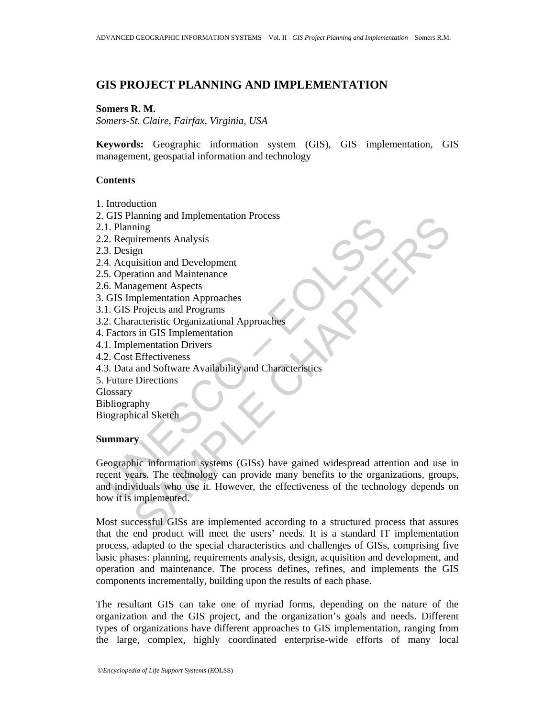## **GIS PROJECT PLANNING AND IMPLEMENTATION**

#### **Somers R. M.**

*Somers-St. Claire, Fairfax, Virginia, USA* 

**Keywords:** Geographic information system (GIS), GIS implementation, GIS management, geospatial information and technology

#### **Contents**

- 1. Introduction
- 2. GIS Planning and Implementation Process
- 2.1. Planning
- 2.2. Requirements Analysis
- 2.3. Design
- 2.4. Acquisition and Development
- 2.5. Operation and Maintenance
- 2.6. Management Aspects
- 3. GIS Implementation Approaches
- 3.1. GIS Projects and Programs
- 3.2. Characteristic Organizational Approaches
- 4. Factors in GIS Implementation
- 4.1. Implementation Drivers
- 4.2. Cost Effectiveness
- 4.3. Data and Software Availability and Characteristics
- 5. Future Directions

**Glossary** 

- Bibliography
- Biographical Sketch

#### **Summary**

US Praining<br>
and inplementation Process<br>
2. Requirements Analysis<br>
3. Design<br>
4. Acquisition and Development<br>
5. Operation and Maintenance<br>
6. Management Aspects<br>
6. Management Aspects<br>
6. Management Aspects<br>
1. GIS Projec Enternalism<br>
in an ing<br>
in the same of the state of the state of the state of the state of the state of the<br>
projects and Programs<br>
Projects and Programs<br>
Projects and Programs<br>
acteristic Organizational Approaches<br>
Entert Geographic information systems (GISs) have gained widespread attention and use in recent years. The technology can provide many benefits to the organizations, groups, and individuals who use it. However, the effectiveness of the technology depends on how it is implemented.

Most successful GISs are implemented according to a structured process that assures that the end product will meet the users' needs. It is a standard IT implementation process, adapted to the special characteristics and challenges of GISs, comprising five basic phases: planning, requirements analysis, design, acquisition and development, and operation and maintenance. The process defines, refines, and implements the GIS components incrementally, building upon the results of each phase.

The resultant GIS can take one of myriad forms, depending on the nature of the organization and the GIS project, and the organization's goals and needs. Different types of organizations have different approaches to GIS implementation, ranging from the large, complex, highly coordinated enterprise-wide efforts of many local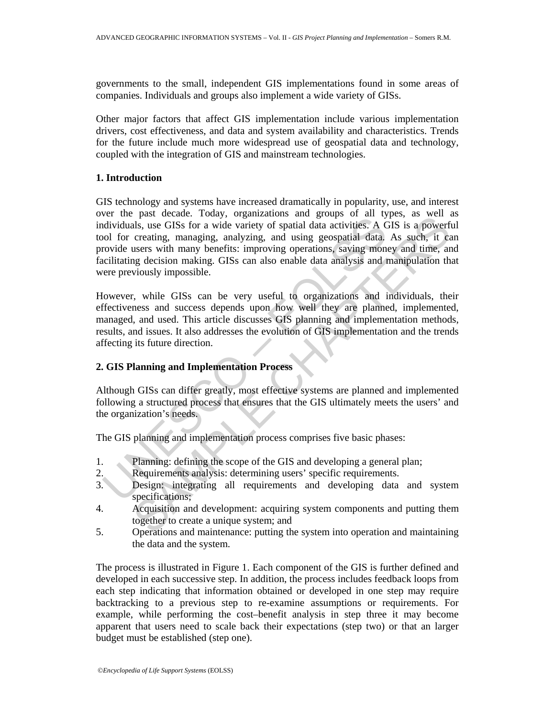governments to the small, independent GIS implementations found in some areas of companies. Individuals and groups also implement a wide variety of GISs.

Other major factors that affect GIS implementation include various implementation drivers, cost effectiveness, and data and system availability and characteristics. Trends for the future include much more widespread use of geospatial data and technology, coupled with the integration of GIS and mainstream technologies.

#### **1. Introduction**

For the past creata. Foury, vigammatures and given by the conditividuals, use GISs for a wide variety of spatial data activities. A C color for creating, managing, analyzing, and using geospatial data, rovide users with ma Pass tectare. Floaty, organizations and groups of an tiples, as were follows.<br>The same consider the capital data activities: A GIS is a powerficerating, managing, analyzing, and using geospatial data. As such, it can<br>ususe GIS technology and systems have increased dramatically in popularity, use, and interest over the past decade. Today, organizations and groups of all types, as well as individuals, use GISs for a wide variety of spatial data activities. A GIS is a powerful tool for creating, managing, analyzing, and using geospatial data. As such, it can provide users with many benefits: improving operations, saving money and time, and facilitating decision making. GISs can also enable data analysis and manipulation that were previously impossible.

However, while GISs can be very useful to organizations and individuals, their effectiveness and success depends upon how well they are planned, implemented, managed, and used. This article discusses GIS planning and implementation methods, results, and issues. It also addresses the evolution of GIS implementation and the trends affecting its future direction.

# **2. GIS Planning and Implementation Process**

Although GISs can differ greatly, most effective systems are planned and implemented following a structured process that ensures that the GIS ultimately meets the users' and the organization's needs.

The GIS planning and implementation process comprises five basic phases:

- 1. Planning: defining the scope of the GIS and developing a general plan;
- 2. Requirements analysis: determining users' specific requirements.
- 3. Design: integrating all requirements and developing data and system specifications;
- 4. Acquisition and development: acquiring system components and putting them together to create a unique system; and
- 5. Operations and maintenance: putting the system into operation and maintaining the data and the system.

The process is illustrated in Figure 1. Each component of the GIS is further defined and developed in each successive step. In addition, the process includes feedback loops from each step indicating that information obtained or developed in one step may require backtracking to a previous step to re-examine assumptions or requirements. For example, while performing the cost–benefit analysis in step three it may become apparent that users need to scale back their expectations (step two) or that an larger budget must be established (step one).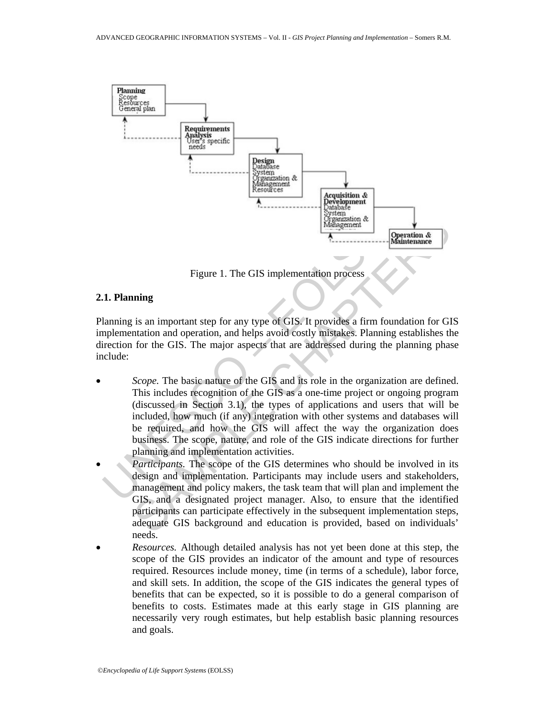

Figure 1. The GIS implementation process

#### **2.1. Planning**

Planning is an important step for any type of GIS. It provides a firm foundation for GIS implementation and operation, and helps avoid costly mistakes. Planning establishes the direction for the GIS. The major aspects that are addressed during the planning phase include:

- Figure 1. The GIS implementation process<br> **Examplementation**<br> **Examplementation**<br> **Examplementation**<br> **Examplementation and operation, and helps avoid costly mistakes. Plannin<br>
rection for the GIS. The major aspects that a** Figure 1. The GIS implementation process<br>
in a simplementation of the Manuema Continuous<br>
Figure 1. The GIS implementation process<br>
infinite is an important step for any type of GIS. It provides a firm foundation for GI<br> *Scope.* The basic nature of the GIS and its role in the organization are defined. This includes recognition of the GIS as a one-time project or ongoing program (discussed in Section 3.1), the types of applications and users that will be included, how much (if any) integration with other systems and databases will be required, and how the GIS will affect the way the organization does business. The scope, nature, and role of the GIS indicate directions for further planning and implementation activities.
- *Participants.* The scope of the GIS determines who should be involved in its design and implementation. Participants may include users and stakeholders, management and policy makers, the task team that will plan and implement the GIS, and a designated project manager. Also, to ensure that the identified participants can participate effectively in the subsequent implementation steps, adequate GIS background and education is provided, based on individuals' needs.
- *Resources.* Although detailed analysis has not yet been done at this step, the scope of the GIS provides an indicator of the amount and type of resources required. Resources include money, time (in terms of a schedule), labor force, and skill sets. In addition, the scope of the GIS indicates the general types of benefits that can be expected, so it is possible to do a general comparison of benefits to costs. Estimates made at this early stage in GIS planning are necessarily very rough estimates, but help establish basic planning resources and goals.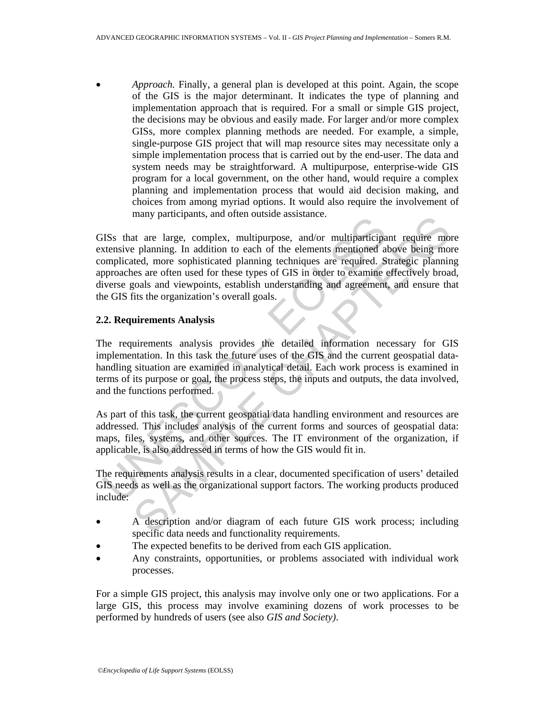• *Approach.* Finally, a general plan is developed at this point. Again, the scope of the GIS is the major determinant. It indicates the type of planning and implementation approach that is required. For a small or simple GIS project, the decisions may be obvious and easily made. For larger and/or more complex GISs, more complex planning methods are needed. For example, a simple, single-purpose GIS project that will map resource sites may necessitate only a simple implementation process that is carried out by the end-user. The data and system needs may be straightforward. A multipurpose, enterprise-wide GIS program for a local government, on the other hand, would require a complex planning and implementation process that would aid decision making, and choices from among myriad options. It would also require the involvement of many participants, and often outside assistance.

ISS that are large, complex, multipurpose, and/or multiparticipa<br>tensive planning. In addition to each of the elements mentioned al<br>omplicated, more sophisticated planning techniques are required. S<br>provaches are often use many participants, and other ousside assistance.<br>
at are large, complex, multipurpose, and/or multiparticipant require mo<br>
are planning. In addition to each of the delements mencioned above being more<br>
thed, more sophistic GISs that are large, complex, multipurpose, and/or multiparticipant require more extensive planning. In addition to each of the elements mentioned above being more complicated, more sophisticated planning techniques are required. Strategic planning approaches are often used for these types of GIS in order to examine effectively broad, diverse goals and viewpoints, establish understanding and agreement, and ensure that the GIS fits the organization's overall goals.

### **2.2. Requirements Analysis**

The requirements analysis provides the detailed information necessary for GIS implementation. In this task the future uses of the GIS and the current geospatial datahandling situation are examined in analytical detail. Each work process is examined in terms of its purpose or goal, the process steps, the inputs and outputs, the data involved, and the functions performed.

As part of this task, the current geospatial data handling environment and resources are addressed. This includes analysis of the current forms and sources of geospatial data: maps, files, systems, and other sources. The IT environment of the organization, if applicable, is also addressed in terms of how the GIS would fit in.

The requirements analysis results in a clear, documented specification of users' detailed GIS needs as well as the organizational support factors. The working products produced include:

- A description and/or diagram of each future GIS work process; including specific data needs and functionality requirements.
- The expected benefits to be derived from each GIS application.
- Any constraints, opportunities, or problems associated with individual work processes.

For a simple GIS project, this analysis may involve only one or two applications. For a large GIS, this process may involve examining dozens of work processes to be performed by hundreds of users (see also *GIS and Society)*.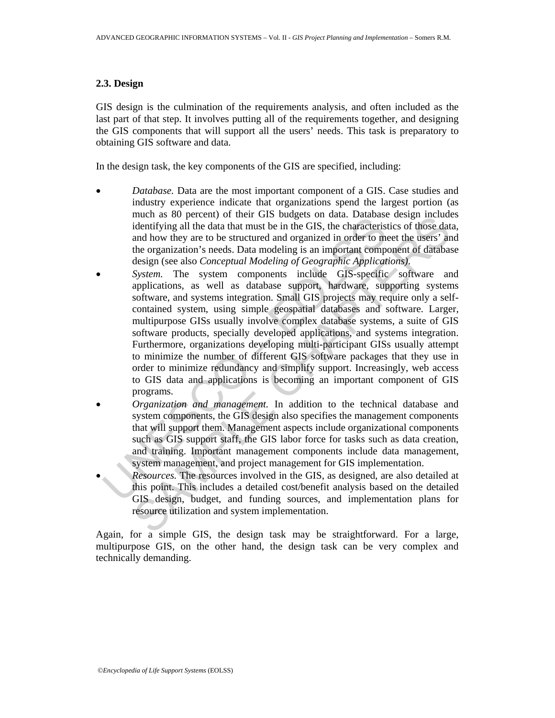### **2.3. Design**

GIS design is the culmination of the requirements analysis, and often included as the last part of that step. It involves putting all of the requirements together, and designing the GIS components that will support all the users' needs. This task is preparatory to obtaining GIS software and data.

In the design task, the key components of the GIS are specified, including:

- *Database.* Data are the most important component of a GIS. Case studies and industry experience indicate that organizations spend the largest portion (as much as 80 percent) of their GIS budgets on data. Database design includes identifying all the data that must be in the GIS, the characteristics of those data, and how they are to be structured and organized in order to meet the users' and the organization's needs. Data modeling is an important component of database design (see also *Conceptual Modeling of Geographic Applications)*.
- micar as to percuri or increasing the data characteristic particular and the distribution and how they are to be structured and organized in order to method reganization's needs. Data modeling is an important compression ( meart as of percent) or utert GIS solar band can cautate since and the districtions and how they are to be structured and organized in order to meet the users' and and how they are to be structured and organized in order t System. The system components include GIS-specific software and applications, as well as database support, hardware, supporting systems software, and systems integration. Small GIS projects may require only a selfcontained system, using simple geospatial databases and software. Larger, multipurpose GISs usually involve complex database systems, a suite of GIS software products, specially developed applications, and systems integration. Furthermore, organizations developing multi-participant GISs usually attempt to minimize the number of different GIS software packages that they use in order to minimize redundancy and simplify support. Increasingly, web access to GIS data and applications is becoming an important component of GIS programs.
- *Organization and management.* In addition to the technical database and system components, the GIS design also specifies the management components that will support them. Management aspects include organizational components such as GIS support staff, the GIS labor force for tasks such as data creation, and training. Important management components include data management, system management, and project management for GIS implementation.
- *Resources.* The resources involved in the GIS, as designed, are also detailed at this point. This includes a detailed cost/benefit analysis based on the detailed GIS design, budget, and funding sources, and implementation plans for resource utilization and system implementation.

Again, for a simple GIS, the design task may be straightforward. For a large, multipurpose GIS, on the other hand, the design task can be very complex and technically demanding.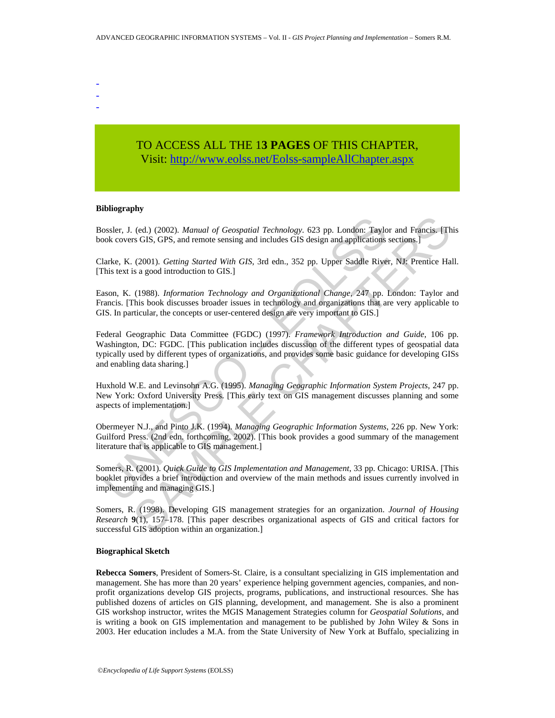- -
- -

# TO ACCESS ALL THE 1**3 PAGES** OF THIS CHAPTER, Visit: [http://www.eolss.net/Eolss-sampleAllChapter.aspx](https://www.eolss.net/ebooklib/sc_cart.aspx?File=E6-72-03-01)

#### **Bibliography**

Bossler, J. (ed.) (2002). *Manual of Geospatial Technology*. 623 pp. London: Taylor and Francis. [This book covers GIS, GPS, and remote sensing and includes GIS design and applications sections.]

Clarke, K. (2001). *Getting Started With GIS*, 3rd edn., 352 pp. Upper Saddle River, NJ: Prentice Hall. [This text is a good introduction to GIS.]

Eason, K. (1988). *Information Technology and Organizational Change*, 247 pp. London: Taylor and Francis. [This book discusses broader issues in technology and organizations that are very applicable to GIS. In particular, the concepts or user-centered design are very important to GIS.]

ossler, J. (ed.) (2002). *Manual of Geospatial Technology*. 623 pp. London: Taylook covers GIS, GPS, and remote sensing and includes GIS design and applications larke, K. (2001). *Getting Started With GIS*, 3rd edn., 352 p (ed.) (2002). *Manual of Geospatial Technology.* 623 pp. London: Taylor and Francis. [The GIS, GFS, and remote sensing and includes GIS design and applications sections.]<br>
(2001). *Getting Started With GIS,* 3rd edn., 352 Federal Geographic Data Committee (FGDC) (1997). *Framework Introduction and Guide*, 106 pp. Washington, DC: FGDC. [This publication includes discussion of the different types of geospatial data typically used by different types of organizations, and provides some basic guidance for developing GISs and enabling data sharing.]

Huxhold W.E. and Levinsohn A.G. (1995). *Managing Geographic Information System Projects*, 247 pp. New York: Oxford University Press. [This early text on GIS management discusses planning and some aspects of implementation.]

Obermeyer N.J., and Pinto J.K. (1994). *Managing Geographic Information Systems*, 226 pp. New York: Guilford Press. (2nd edn. forthcoming, 2002). [This book provides a good summary of the management literature that is applicable to GIS management.]

Somers, R. (2001). *Quick Guide to GIS Implementation and Management*, 33 pp. Chicago: URISA. [This booklet provides a brief introduction and overview of the main methods and issues currently involved in implementing and managing GIS.]

Somers, R. (1998). Developing GIS management strategies for an organization. *Journal of Housing Research* **9**(1), 157–178. [This paper describes organizational aspects of GIS and critical factors for successful GIS adoption within an organization.]

#### **Biographical Sketch**

**Rebecca Somers**, President of Somers-St. Claire, is a consultant specializing in GIS implementation and management. She has more than 20 years' experience helping government agencies, companies, and nonprofit organizations develop GIS projects, programs, publications, and instructional resources. She has published dozens of articles on GIS planning, development, and management. She is also a prominent GIS workshop instructor, writes the MGIS Management Strategies column for *Geospatial Solutions*, and is writing a book on GIS implementation and management to be published by John Wiley & Sons in 2003. Her education includes a M.A. from the State University of New York at Buffalo, specializing in